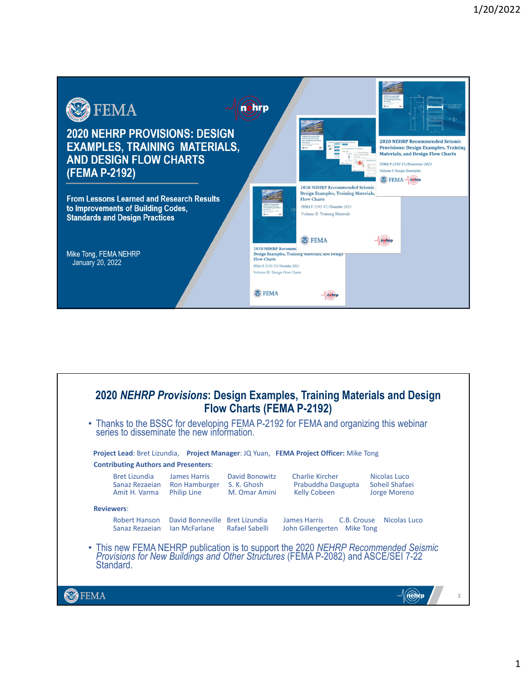

| 2020 NEHRP Provisions: Design Examples, Training Materials and Design<br><b>Flow Charts (FEMA P-2192)</b>                                                                         |                                                                        |                                 |                                                                                                                                 |                                                |  |
|-----------------------------------------------------------------------------------------------------------------------------------------------------------------------------------|------------------------------------------------------------------------|---------------------------------|---------------------------------------------------------------------------------------------------------------------------------|------------------------------------------------|--|
|                                                                                                                                                                                   |                                                                        |                                 | • Thanks to the BSSC for developing FEMA P-2192 for FEMA and organizing this webinar series to disseminate the new information. |                                                |  |
|                                                                                                                                                                                   |                                                                        |                                 | Project Lead: Bret Lizundia, Project Manager: JQ Yuan, FEMA Project Officer: Mike Tong                                          |                                                |  |
|                                                                                                                                                                                   | <b>Contributing Authors and Presenters:</b>                            |                                 |                                                                                                                                 |                                                |  |
| Bret Lizundia<br>Sanaz Rezaejan<br>Amit H. Varma                                                                                                                                  | <b>James Harris</b><br>Ron Hamburger S. K. Ghosh<br><b>Philip Line</b> | David Bonowitz<br>M. Omar Amini | Charlie Kircher<br>Prabuddha Dasgupta<br><b>Kelly Cobeen</b>                                                                    | Nicolas Luco<br>Soheil Shafaei<br>Jorge Moreno |  |
| <b>Reviewers:</b>                                                                                                                                                                 |                                                                        |                                 |                                                                                                                                 |                                                |  |
| <b>Robert Hanson</b><br>Sanaz Rezaejan                                                                                                                                            | David Bonneville Bret Lizundia<br>lan McFarlane                        | Rafael Sabelli                  | <b>James Harris</b><br>C.B. Crouse<br>John Gillengerten Mike Tong                                                               | Nicolas Luco                                   |  |
| • This new FEMA NEHRP publication is to support the 2020 NEHRP Recommended Seismic Provisions for New Buildings and Other Structures (FEMA P-2082) and ASCE/SEI 7-22<br>Standard. |                                                                        |                                 |                                                                                                                                 |                                                |  |
|                                                                                                                                                                                   |                                                                        |                                 |                                                                                                                                 |                                                |  |
|                                                                                                                                                                                   |                                                                        |                                 |                                                                                                                                 |                                                |  |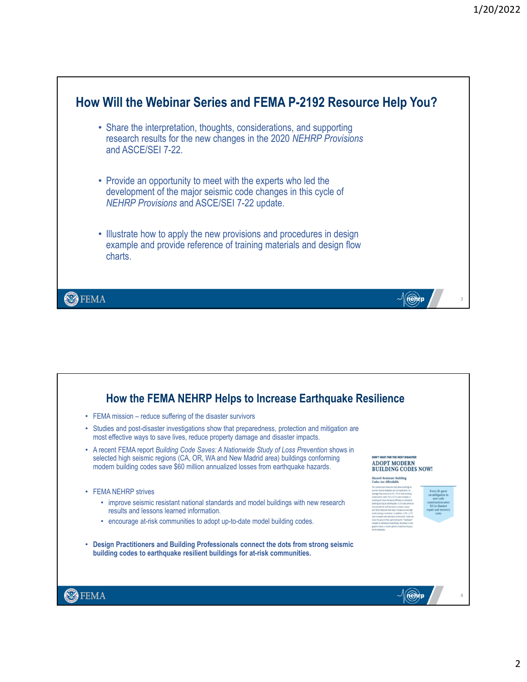